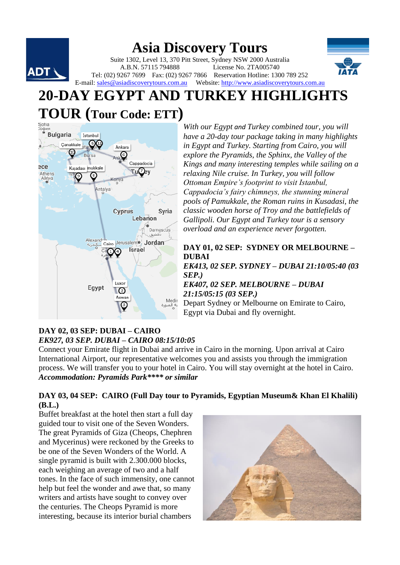#### **Asia Discovery Tours** Suite 1302, Level 13, 370 Pitt Street, Sydney NSW 2000 Australia A.B.N. 57115 794888 License No. 2TA005740 **ADT** Tel: (02) 9267 7699 Fax: (02) 9267 7866 Reservation Hotline: 1300 789 252 E-mail: [sales@asiadiscoverytours.com.au](mailto:sales@asiadiscoverytours.com.au) Website[: http://www.asiadiscoverytours.com.au](http://www.asiadiscoverytours.com.au/)

# **20-DAY EGYPT AND TURKEY HIGHLIGHTS**



*With our Egypt and Turkey combined tour, you will have a 20-day tour package taking in many highlights in Egypt and Turkey. Starting from Cairo, you will explore the Pyramids, the Sphinx, the Valley of the Kings and many interesting temples while sailing on a relaxing Nile cruise. In Turkey, you will follow Ottoman Empire's footprint to visit Istanbul, Cappadocia's fairy chimneys, the stunning mineral pools of Pamukkale, the Roman ruins in Kusadasi, the classic wooden horse of Troy and the battlefields of Gallipoli. Our Egypt and Turkey tour is a sensory overload and an experience never forgotten.*

# **DAY 01, 02 SEP: SYDNEY OR MELBOURNE – DUBAI**

*EK413, 02 SEP. SYDNEY – DUBAI 21:10/05:40 (03 SEP.)*

*EK407, 02 SEP. MELBOURNE – DUBAI 21:15/05:15 (03 SEP.)*

Depart Sydney or Melbourne on Emirate to Cairo, Egypt via Dubai and fly overnight.

# **DAY 02, 03 SEP: DUBAI – CAIRO**  *EK927, 03 SEP. DUBAI – CAIRO 08:15/10:05*

Connect your Emirate flight in Dubai and arrive in Cairo in the morning. Upon arrival at Cairo International Airport, our representative welcomes you and assists you through the immigration process. We will transfer you to your hotel in Cairo. You will stay overnight at the hotel in Cairo. *Accommodation: Pyramids Park\*\*\*\* or similar*

# **DAY 03, 04 SEP: CAIRO (Full Day tour to Pyramids, Egyptian Museum& Khan El Khalili) (B.L.)**

Buffet breakfast at the hotel then start a full day guided tour to visit one of the Seven Wonders. The great Pyramids of Giza (Cheops, Chephren and Mycerinus) were reckoned by the Greeks to be one of the Seven Wonders of the World. A single pyramid is built with 2.300.000 blocks, each weighing an average of two and a half tones. In the face of such immensity, one cannot help but feel the wonder and awe that, so many writers and artists have sought to convey over the centuries. The Cheops Pyramid is more interesting, because its interior burial chambers

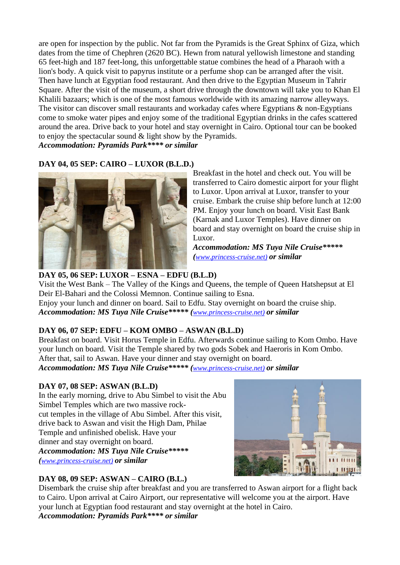are open for inspection by the public. Not far from the Pyramids is the Great Sphinx of Giza, which dates from the time of Chephren (2620 BC). Hewn from natural yellowish limestone and standing 65 feet-high and 187 feet-long, this unforgettable statue combines the head of a Pharaoh with a lion's body. A quick visit to papyrus institute or a perfume shop can be arranged after the visit. Then have lunch at Egyptian food restaurant. And then drive to the Egyptian Museum in Tahrir Square. After the visit of the museum, a short drive through the downtown will take you to Khan El Khalili bazaars; which is one of the most famous worldwide with its amazing narrow alleyways. The visitor can discover small restaurants and workaday cafes where Egyptians & non-Egyptians come to smoke water pipes and enjoy some of the traditional Egyptian drinks in the cafes scattered around the area. Drive back to your hotel and stay overnight in Cairo. Optional tour can be booked to enjoy the spectacular sound & light show by the Pyramids. *Accommodation: Pyramids Park\*\*\*\* or similar*

# **DAY 04, 05 SEP: CAIRO – LUXOR (B.L.D.)**



Breakfast in the hotel and check out. You will be transferred to Cairo domestic airport for your flight to Luxor. Upon arrival at Luxor, transfer to your cruise. Embark the cruise ship before lunch at 12:00 PM. Enjoy your lunch on board. Visit East Bank (Karnak and Luxor Temples). Have dinner on board and stay overnight on board the cruise ship in Luxor.

*Accommodation: MS Tuya Nile Cruise\*\*\*\*\* ([www.princess-cruise.net\)](http://www.princess-cruise.net/) or similar*

# **DAY 05, 06 SEP: LUXOR – ESNA – EDFU (B.L.D)**

Visit the West Bank – The Valley of the Kings and Queens, the temple of Queen Hatshepsut at El Deir El-Bahari and the Colossi Memnon. Continue sailing to Esna.

Enjoy your lunch and dinner on board. Sail to Edfu. Stay overnight on board the cruise ship. *Accommodation: MS Tuya Nile Cruise\*\*\*\*\* ([www.princess-cruise.net\)](http://www.princess-cruise.net/) or similar*

# **DAY 06, 07 SEP: EDFU – KOM OMBO – ASWAN (B.L.D)**

Breakfast on board. Visit Horus Temple in Edfu. Afterwards continue sailing to Kom Ombo. Have your lunch on board. Visit the Temple shared by two gods Sobek and Haeroris in Kom Ombo. After that, sail to Aswan. Have your dinner and stay overnight on board.

*Accommodation: MS Tuya Nile Cruise\*\*\*\*\* ([www.princess-cruise.net\)](http://www.princess-cruise.net/) or similar*

# **DAY 07, 08 SEP: ASWAN (B.L.D)**

In the early morning, drive to Abu Simbel to visit the Abu Simbel Temples which are two massive [rock](https://en.wikipedia.org/wiki/Rock-cut_architecture)[cut](https://en.wikipedia.org/wiki/Rock-cut_architecture) [temples](https://en.wikipedia.org/wiki/Egyptian_temple) in the village of [Abu Simbel.](https://en.wikipedia.org/wiki/Abu_Simbel_(village)) After this visit, drive back to Aswan and visit the High Dam, Philae Temple and unfinished obelisk. Have your dinner and stay overnight on board. *Accommodation: MS Tuya Nile Cruise\*\*\*\*\* ([www.princess-cruise.net\)](http://www.princess-cruise.net/) or similar*



# **DAY 08, 09 SEP: ASWAN – CAIRO (B.L.)**

Disembark the cruise ship after breakfast and you are transferred to Aswan airport for a flight back to Cairo. Upon arrival at Cairo Airport, our representative will welcome you at the airport. Have your lunch at Egyptian food restaurant and stay overnight at the hotel in Cairo. *Accommodation: Pyramids Park\*\*\*\* or similar*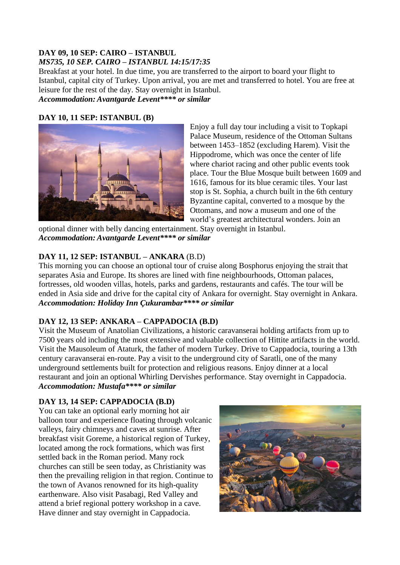# **DAY 09, 10 SEP: CAIRO – ISTANBUL**  *MS735, 10 SEP. CAIRO – ISTANBUL 14:15/17:35*

Breakfast at your hotel. In due time, you are transferred to the airport to board your flight to Istanbul, capital city of Turkey. Upon arrival, you are met and transferred to hotel. You are free at leisure for the rest of the day. Stay overnight in Istanbul. *Accommodation: Avantgarde Levent\*\*\*\* or similar*

# **DAY 10, 11 SEP: ISTANBUL (B)**



Enjoy a full day tour including a visit to Topkapi Palace Museum, residence of the Ottoman Sultans between 1453–1852 (excluding Harem). Visit the Hippodrome, which was once the center of life where chariot racing and other public events took place. Tour the Blue Mosque built between 1609 and 1616, famous for its blue ceramic tiles. Your last stop is St. Sophia, a church built in the 6th century Byzantine capital, converted to a mosque by the Ottomans, and now a museum and one of the world's greatest architectural wonders. Join an

optional dinner with belly dancing entertainment. Stay overnight in Istanbul. *Accommodation: Avantgarde Levent\*\*\*\* or similar*

# **DAY 11, 12 SEP: ISTANBUL – ANKARA** (B.D)

This morning you can choose an optional tour of cruise along Bosphorus enjoying the strait that separates Asia and Europe. Its shores are lined with fine neighbourhoods, Ottoman palaces, fortresses, old wooden villas, hotels, parks and gardens, restaurants and cafés. The tour will be ended in Asia side and drive for the capital city of Ankara for overnight. Stay overnight in Ankara. *Accommodation: Holiday Inn Çukurambar\*\*\*\* or similar*

# **DAY 12, 13 SEP: ANKARA – CAPPADOCIA (B.D)**

Visit the Museum of Anatolian Civilizations, a historic caravanserai holding artifacts from up to 7500 years old including the most extensive and valuable collection of Hittite artifacts in the world. Visit the Mausoleum of Ataturk, the father of modern Turkey. Drive to Cappadocia, touring a 13th century caravanserai en-route. Pay a visit to the underground city of Saratli, one of the many underground settlements built for protection and religious reasons. Enjoy dinner at a local restaurant and join an optional Whirling Dervishes performance. Stay overnight in Cappadocia. *Accommodation: Mustafa\*\*\*\* or similar*

# **DAY 13, 14 SEP: CAPPADOCIA (B.D)**

You can take an optional early morning hot air balloon tour and experience floating through volcanic valleys, fairy chimneys and caves at sunrise. After breakfast visit Goreme, a historical region of Turkey, located among the rock formations, which was first settled back in the Roman period. Many rock churches can still be seen today, as Christianity was then the prevailing religion in that region. Continue to the town of Avanos renowned for its high-quality earthenware. Also visit Pasabagi, Red Valley and attend a brief regional pottery workshop in a cave. Have dinner and stay overnight in Cappadocia.

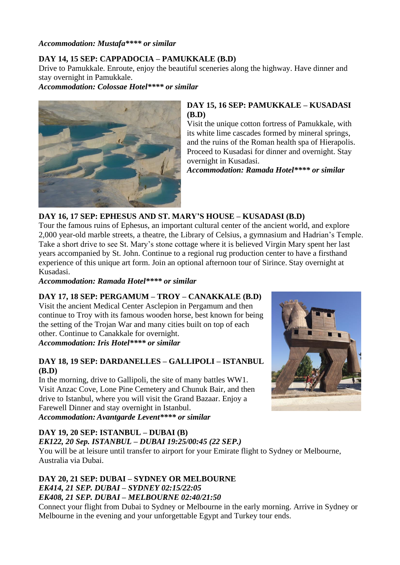*Accommodation: Mustafa\*\*\*\* or similar*

# **DAY 14, 15 SEP: CAPPADOCIA – PAMUKKALE (B.D)**

Drive to Pamukkale. Enroute, enjoy the beautiful sceneries along the highway. Have dinner and stay overnight in Pamukkale.

*Accommodation: Colossae Hotel\*\*\*\* or similar*



# **DAY 15, 16 SEP: PAMUKKALE – KUSADASI (B.D)**

Visit the unique cotton fortress of Pamukkale, with its white lime cascades formed by mineral springs, and the ruins of the Roman health spa of Hierapolis. Proceed to Kusadasi for dinner and overnight. Stay overnight in Kusadasi.

*Accommodation: Ramada Hotel\*\*\*\* or similar*

#### **DAY 16, 17 SEP: EPHESUS AND ST. MARY'S HOUSE – KUSADASI (B.D)**

Tour the famous ruins of Ephesus, an important cultural center of the ancient world, and explore 2,000 year-old marble streets, a theatre, the Library of Celsius, a gymnasium and Hadrian's Temple. Take a short drive to see St. Mary's stone cottage where it is believed Virgin Mary spent her last years accompanied by St. John. Continue to a regional rug production center to have a firsthand experience of this unique art form. Join an optional afternoon tour of Sirince. Stay overnight at Kusadasi.

*Accommodation: Ramada Hotel\*\*\*\* or similar*

#### **DAY 17, 18 SEP: PERGAMUM – TROY – CANAKKALE (B.D)**

Visit the ancient Medical Center Asclepion in Pergamum and then continue to Troy with its famous wooden horse, best known for being the setting of the Trojan War and many cities built on top of each other. Continue to Canakkale for overnight. *Accommodation: Iris Hotel\*\*\*\* or similar*

#### **DAY 18, 19 SEP: DARDANELLES – GALLIPOLI – ISTANBUL (B.D)**

In the morning, drive to Gallipoli, the site of many battles WW1. Visit Anzac Cove, Lone Pine Cemetery and Chunuk Bair, and then drive to Istanbul, where you will visit the Grand Bazaar. Enjoy a Farewell Dinner and stay overnight in Istanbul. *Accommodation: Avantgarde Levent\*\*\*\* or similar*

#### **DAY 19, 20 SEP: ISTANBUL – DUBAI (B)**

# *EK122, 20 Sep. ISTANBUL – DUBAI 19:25/00:45 (22 SEP.)*

You will be at leisure until transfer to airport for your Emirate flight to Sydney or Melbourne, Australia via Dubai.

#### **DAY 20, 21 SEP: DUBAI – SYDNEY OR MELBOURNE** *EK414, 21 SEP. DUBAI – SYDNEY 02:15/22:05 EK408, 21 SEP. DUBAI – MELBOURNE 02:40/21:50*

Connect your flight from Dubai to Sydney or Melbourne in the early morning. Arrive in Sydney or Melbourne in the evening and your unforgettable Egypt and Turkey tour ends.